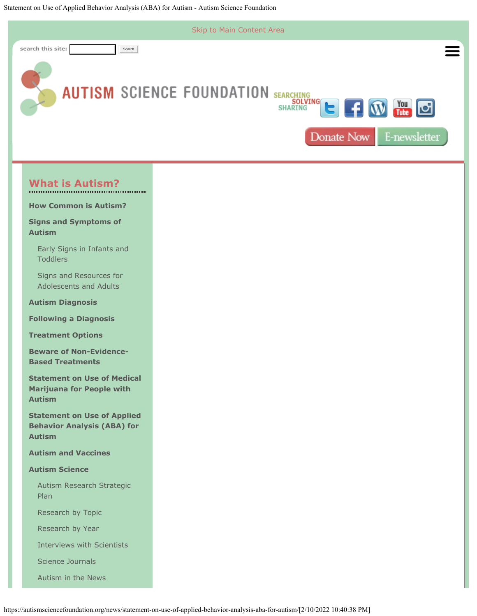<span id="page-0-0"></span>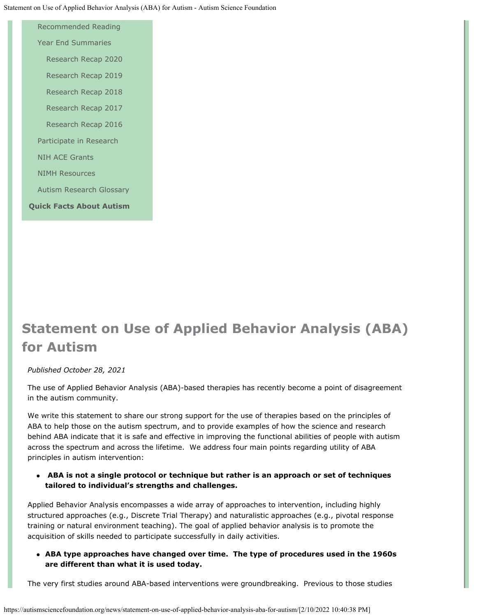[Recommended Reading](https://autismsciencefoundation.org/what-is-autism/autism-science/recommended-reading/) [Year End Summaries](https://autismsciencefoundation.org/what-is-autism/autism-science/key-autism-research/) [Research Recap 2020](https://autismsciencefoundation.org/what-is-autism/autism-science/key-autism-research/research-recap-2020/) [Research Recap 2019](https://autismsciencefoundation.org/what-is-autism/autism-science/key-autism-research/https-autismsciencefoundation-org-key-autism-research-2019-the-year-of-preparing-for-the-future/) [Research Recap 2018](https://autismsciencefoundation.org/what-is-autism/autism-science/key-autism-research/research-recap-2018/) [Research Recap 2017](https://autismsciencefoundation.org/what-is-autism/autism-science/key-autism-research/research-recap-20/) [Research Recap 2016](https://autismsciencefoundation.org/what-is-autism/autism-science/key-autism-research/research-recap-2016/) [Participate in Research](https://autismsciencefoundation.org/what-is-autism/autism-science/participate-in-research/) [NIH ACE Grants](https://autismsciencefoundation.org/what-is-autism/autism-science/nih-ace-grants/) [NIMH Resources](https://autismsciencefoundation.org/what-is-autism/autism-science/nimh-resources/) [Autism Research Glossary](https://autismsciencefoundation.org/what-is-autism/autism-science/autism-research-glossary/) **[Quick Facts About Autism](https://autismsciencefoundation.org/what-is-autism/quick-facts-about-autism/)**

# **Statement on Use of Applied Behavior Analysis (ABA) for Autism**

## *Published October 28, 2021*

The use of Applied Behavior Analysis (ABA)-based therapies has recently become a point of disagreement in the autism community.

We write this statement to share our strong support for the use of therapies based on the principles of ABA to help those on the autism spectrum, and to provide examples of how the science and research behind ABA indicate that it is safe and effective in improving the functional abilities of people with autism across the spectrum and across the lifetime. We address four main points regarding utility of ABA principles in autism intervention:

**ABA is not a single protocol or technique but rather is an approach or set of techniques tailored to individual's strengths and challenges.** 

Applied Behavior Analysis encompasses a wide array of approaches to intervention, including highly structured approaches (e.g., Discrete Trial Therapy) and naturalistic approaches (e.g., pivotal response training or natural environment teaching). The goal of applied behavior analysis is to promote the acquisition of skills needed to participate successfully in daily activities.

**ABA type approaches have changed over time. The type of procedures used in the 1960s are different than what it is used today.**

The very first studies around ABA-based interventions were groundbreaking. Previous to those studies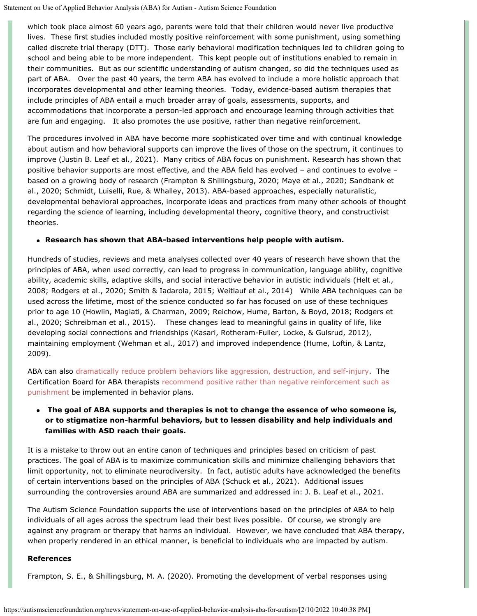which took place almost 60 years ago, parents were told that their children would never live productive lives. These first studies included mostly positive reinforcement with some punishment, using something called discrete trial therapy (DTT). Those early behavioral modification techniques led to children going to school and being able to be more independent. This kept people out of institutions enabled to remain in their communities. But as our scientific understanding of autism changed, so did the techniques used as part of ABA. Over the past 40 years, the term ABA has evolved to include a more holistic approach that incorporates developmental and other learning theories. Today, evidence-based autism therapies that include principles of ABA entail a much broader array of goals, assessments, supports, and accommodations that incorporate a person-led approach and encourage learning through activities that are fun and engaging. It also promotes the use positive, rather than negative reinforcement.

The procedures involved in ABA have become more sophisticated over time and with continual knowledge about autism and how behavioral supports can improve the lives of those on the spectrum, it continues to improve (Justin B. Leaf et al., 2021). Many critics of ABA focus on punishment. Research has shown that positive behavior supports are most effective, and the ABA field has evolved – and continues to evolve – based on a growing body of research (Frampton & Shillingsburg, 2020; Maye et al., 2020; Sandbank et al., 2020; Schmidt, Luiselli, Rue, & Whalley, 2013). ABA-based approaches, especially naturalistic, developmental behavioral approaches, incorporate ideas and practices from many other schools of thought regarding the science of learning, including developmental theory, cognitive theory, and constructivist theories.

### **Research has shown that ABA-based interventions help people with autism.**

Hundreds of studies, reviews and meta analyses collected over 40 years of research have shown that the principles of ABA, when used correctly, can lead to progress in communication, language ability, cognitive ability, academic skills, adaptive skills, and social interactive behavior in autistic individuals (Helt et al., 2008; Rodgers et al., 2020; Smith & Iadarola, 2015; Weitlauf et al., 2014) While ABA techniques can be used across the lifetime, most of the science conducted so far has focused on use of these techniques prior to age 10 (Howlin, Magiati, & Charman, 2009; Reichow, Hume, Barton, & Boyd, 2018; Rodgers et al., 2020; Schreibman et al., 2015). These changes lead to meaningful gains in quality of life, like developing social connections and friendships (Kasari, Rotheram-Fuller, Locke, & Gulsrud, 2012), maintaining employment (Wehman et al., 2017) and improved independence (Hume, Loftin, & Lantz, 2009).

ABA can also [dramatically reduce problem behaviors like aggression, destruction, and self-injury](https://www.kennedykrieger.org/patient-care/centers-and-programs/neurobehavioral-unit-nbu/applied-behavior-analysis/scientific-support-for-applied-behavior-analysis). The Certification Board for ABA therapists [recommend positive rather than negative reinforcement such as](https://www.bacb.com/wp-content/uploads/2020/05/BACB-Compliance-Code-english_190318.pdf) [punishment](https://www.bacb.com/wp-content/uploads/2020/05/BACB-Compliance-Code-english_190318.pdf) be implemented in behavior plans.

## **The goal of ABA supports and therapies is not to change the essence of who someone is, or to stigmatize non-harmful behaviors, but to lessen disability and help individuals and families with ASD reach their goals.**

It is a mistake to throw out an entire canon of techniques and principles based on criticism of past practices. The goal of ABA is to maximize communication skills and minimize challenging behaviors that limit opportunity, not to eliminate neurodiversity. In fact, autistic adults have acknowledged the benefits of certain interventions based on the principles of ABA (Schuck et al., 2021). Additional issues surrounding the controversies around ABA are summarized and addressed in: J. B. Leaf et al., 2021.

The Autism Science Foundation supports the use of interventions based on the principles of ABA to help individuals of all ages across the spectrum lead their best lives possible. Of course, we strongly are against any program or therapy that harms an individual. However, we have concluded that ABA therapy, when properly rendered in an ethical manner, is beneficial to individuals who are impacted by autism.

#### **References**

Frampton, S. E., & Shillingsburg, M. A. (2020). Promoting the development of verbal responses using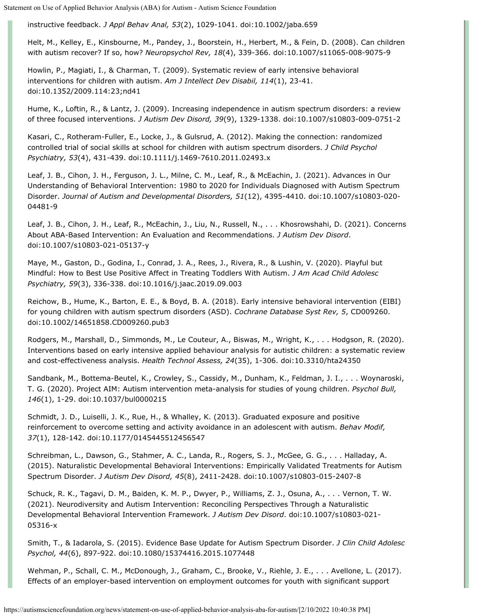instructive feedback. *J Appl Behav Anal, 53*(2), 1029-1041. doi:10.1002/jaba.659

Helt, M., Kelley, E., Kinsbourne, M., Pandey, J., Boorstein, H., Herbert, M., & Fein, D. (2008). Can children with autism recover? If so, how? *Neuropsychol Rev, 18*(4), 339-366. doi:10.1007/s11065-008-9075-9

Howlin, P., Magiati, I., & Charman, T. (2009). Systematic review of early intensive behavioral interventions for children with autism. *Am J Intellect Dev Disabil, 114*(1), 23-41. doi:10.1352/2009.114:23;nd41

Hume, K., Loftin, R., & Lantz, J. (2009). Increasing independence in autism spectrum disorders: a review of three focused interventions. *J Autism Dev Disord, 39*(9), 1329-1338. doi:10.1007/s10803-009-0751-2

Kasari, C., Rotheram-Fuller, E., Locke, J., & Gulsrud, A. (2012). Making the connection: randomized controlled trial of social skills at school for children with autism spectrum disorders. *J Child Psychol Psychiatry, 53*(4), 431-439. doi:10.1111/j.1469-7610.2011.02493.x

Leaf, J. B., Cihon, J. H., Ferguson, J. L., Milne, C. M., Leaf, R., & McEachin, J. (2021). Advances in Our Understanding of Behavioral Intervention: 1980 to 2020 for Individuals Diagnosed with Autism Spectrum Disorder. *Journal of Autism and Developmental Disorders, 51*(12), 4395-4410. doi:10.1007/s10803-020- 04481-9

Leaf, J. B., Cihon, J. H., Leaf, R., McEachin, J., Liu, N., Russell, N., . . . Khosrowshahi, D. (2021). Concerns About ABA-Based Intervention: An Evaluation and Recommendations. *J Autism Dev Disord*. doi:10.1007/s10803-021-05137-y

Maye, M., Gaston, D., Godina, I., Conrad, J. A., Rees, J., Rivera, R., & Lushin, V. (2020). Playful but Mindful: How to Best Use Positive Affect in Treating Toddlers With Autism. *J Am Acad Child Adolesc Psychiatry, 59*(3), 336-338. doi:10.1016/j.jaac.2019.09.003

Reichow, B., Hume, K., Barton, E. E., & Boyd, B. A. (2018). Early intensive behavioral intervention (EIBI) for young children with autism spectrum disorders (ASD). *Cochrane Database Syst Rev, 5*, CD009260. doi:10.1002/14651858.CD009260.pub3

Rodgers, M., Marshall, D., Simmonds, M., Le Couteur, A., Biswas, M., Wright, K., . . . Hodgson, R. (2020). Interventions based on early intensive applied behaviour analysis for autistic children: a systematic review and cost-effectiveness analysis. *Health Technol Assess, 24*(35), 1-306. doi:10.3310/hta24350

Sandbank, M., Bottema-Beutel, K., Crowley, S., Cassidy, M., Dunham, K., Feldman, J. I., . . . Woynaroski, T. G. (2020). Project AIM: Autism intervention meta-analysis for studies of young children. *Psychol Bull, 146*(1), 1-29. doi:10.1037/bul0000215

Schmidt, J. D., Luiselli, J. K., Rue, H., & Whalley, K. (2013). Graduated exposure and positive reinforcement to overcome setting and activity avoidance in an adolescent with autism. *Behav Modif, 37*(1), 128-142. doi:10.1177/0145445512456547

Schreibman, L., Dawson, G., Stahmer, A. C., Landa, R., Rogers, S. J., McGee, G. G., . . . Halladay, A. (2015). Naturalistic Developmental Behavioral Interventions: Empirically Validated Treatments for Autism Spectrum Disorder. *J Autism Dev Disord, 45*(8), 2411-2428. doi:10.1007/s10803-015-2407-8

Schuck, R. K., Tagavi, D. M., Baiden, K. M. P., Dwyer, P., Williams, Z. J., Osuna, A., . . . Vernon, T. W. (2021). Neurodiversity and Autism Intervention: Reconciling Perspectives Through a Naturalistic Developmental Behavioral Intervention Framework. *J Autism Dev Disord*. doi:10.1007/s10803-021- 05316-x

Smith, T., & Iadarola, S. (2015). Evidence Base Update for Autism Spectrum Disorder. *J Clin Child Adolesc Psychol, 44*(6), 897-922. doi:10.1080/15374416.2015.1077448

Wehman, P., Schall, C. M., McDonough, J., Graham, C., Brooke, V., Riehle, J. E., . . . Avellone, L. (2017). Effects of an employer-based intervention on employment outcomes for youth with significant support